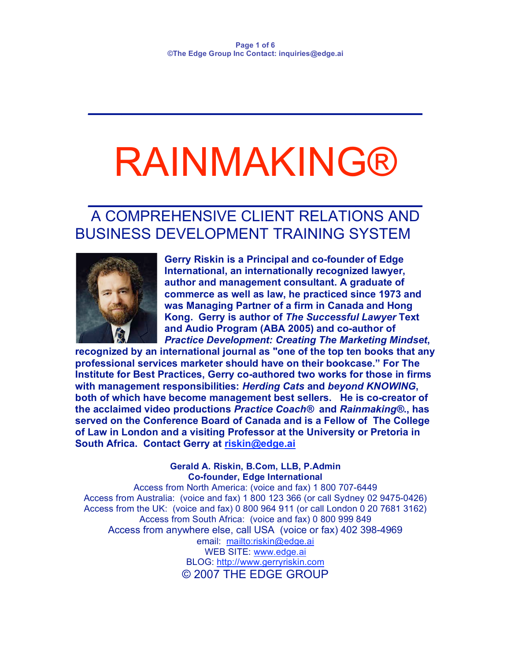$\mathcal{L}=\{1,2,3,4\}$  , we can consider the constraint of  $\mathcal{L}=\{1,2,3,4\}$  , we can consider the constraint of  $\mathcal{L}=\{1,2,3,4\}$ 

# RAINMAKING®

 $\mathcal{L}_\text{max}$  and  $\mathcal{L}_\text{max}$  and  $\mathcal{L}_\text{max}$  and  $\mathcal{L}_\text{max}$  and  $\mathcal{L}_\text{max}$ 

# A COMPREHENSIVE CLIENT RELATIONS AND BUSINESS DEVELOPMENT TRAINING SYSTEM



**Gerry Riskin is a Principal and co-founder of Edge International, an internationally recognized lawyer, author and management consultant. A graduate of commerce as well as law, he practiced since 1973 and was Managing Partner of a firm in Canada and Hong Kong. Gerry is author of** *The Successful Lawyer* **Text and Audio Program (ABA 2005) and co-author of** *Practice Development: Creating The Marketing Mindset***,**

**recognized by an international journal as "one of the top ten books that any professional services marketer should have on their bookcase." For The Institute for Best Practices, Gerry co-authored two works for those in firms with management responsibilities:** *Herding Cats* **and** *beyond KNOWING***, both of which have become management best sellers. He is co-creator of the acclaimed video productions** *Practice Coach®* **and** *Rainmaking®***., has served on the Conference Board of Canada and is a Fellow of The College of Law in London and a visiting Professor at the University or Pretoria in South Africa. Contact Gerry at riskin@edge.ai**

#### **Gerald A. Riskin, B.Com, LLB, P.Admin Co-founder, Edge International**

Access from North America: (voice and fax) 1 800 707-6449 Access from Australia: (voice and fax) 1 800 123 366 (or call Sydney 02 9475-0426) Access from the UK: (voice and fax) 0 800 964 911 (or call London 0 20 7681 3162) Access from South Africa: (voice and fax) 0 800 999 849 Access from anywhere else, call USA (voice or fax) 402 398-4969 email: mailto:riskin@edge.ai WEB SITE: www.edge.ai BLOG: http://www.gerryriskin.com © 2007 THE EDGE GROUP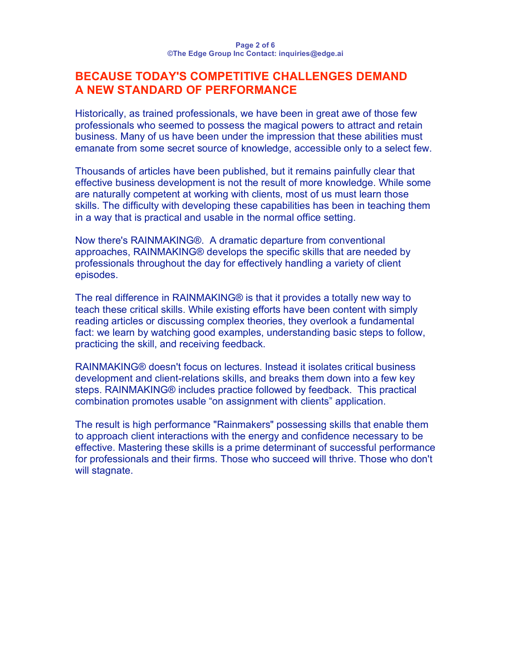# **BECAUSE TODAY'S COMPETITIVE CHALLENGES DEMAND A NEW STANDARD OF PERFORMANCE**

Historically, as trained professionals, we have been in great awe of those few professionals who seemed to possess the magical powers to attract and retain business. Many of us have been under the impression that these abilities must emanate from some secret source of knowledge, accessible only to a select few.

Thousands of articles have been published, but it remains painfully clear that effective business development is not the result of more knowledge. While some are naturally competent at working with clients, most of us must learn those skills. The difficulty with developing these capabilities has been in teaching them in a way that is practical and usable in the normal office setting.

Now there's RAINMAKING®. A dramatic departure from conventional approaches, RAINMAKING® develops the specific skills that are needed by professionals throughout the day for effectively handling a variety of client episodes.

The real difference in RAINMAKING® is that it provides a totally new way to teach these critical skills. While existing efforts have been content with simply reading articles or discussing complex theories, they overlook a fundamental fact: we learn by watching good examples, understanding basic steps to follow, practicing the skill, and receiving feedback.

RAINMAKING® doesn't focus on lectures. Instead it isolates critical business development and client-relations skills, and breaks them down into a few key steps. RAINMAKING® includes practice followed by feedback. This practical combination promotes usable "on assignment with clients" application.

The result is high performance "Rainmakers" possessing skills that enable them to approach client interactions with the energy and confidence necessary to be effective. Mastering these skills is a prime determinant of successful performance for professionals and their firms. Those who succeed will thrive. Those who don't will stagnate.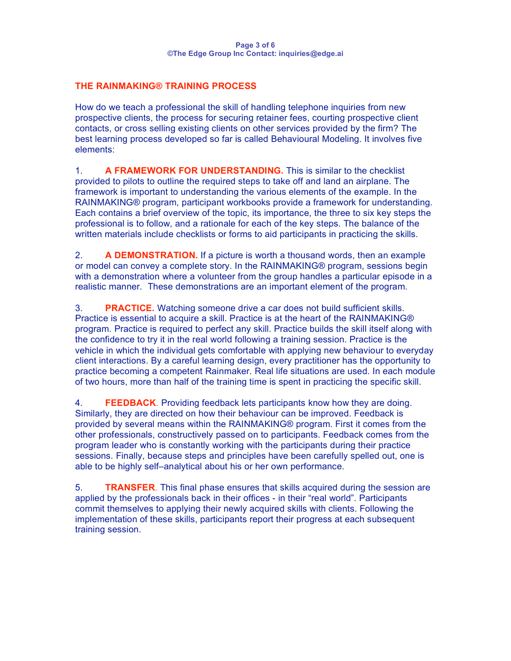#### **THE RAINMAKING® TRAINING PROCESS**

How do we teach a professional the skill of handling telephone inquiries from new prospective clients, the process for securing retainer fees, courting prospective client contacts, or cross selling existing clients on other services provided by the firm? The best learning process developed so far is called Behavioural Modeling. It involves five elements:

1. **A FRAMEWORK FOR UNDERSTANDING.** This is similar to the checklist provided to pilots to outline the required steps to take off and land an airplane. The framework is important to understanding the various elements of the example. In the RAINMAKING® program, participant workbooks provide a framework for understanding. Each contains a brief overview of the topic, its importance, the three to six key steps the professional is to follow, and a rationale for each of the key steps. The balance of the written materials include checklists or forms to aid participants in practicing the skills.

2. **A DEMONSTRATION.** If a picture is worth a thousand words, then an example or model can convey a complete story. In the RAINMAKING® program, sessions begin with a demonstration where a volunteer from the group handles a particular episode in a realistic manner. These demonstrations are an important element of the program.

3. **PRACTICE.** Watching someone drive a car does not build sufficient skills. Practice is essential to acquire a skill. Practice is at the heart of the RAINMAKING® program. Practice is required to perfect any skill. Practice builds the skill itself along with the confidence to try it in the real world following a training session. Practice is the vehicle in which the individual gets comfortable with applying new behaviour to everyday client interactions. By a careful learning design, every practitioner has the opportunity to practice becoming a competent Rainmaker. Real life situations are used. In each module of two hours, more than half of the training time is spent in practicing the specific skill.

4. **FEEDBACK**. Providing feedback lets participants know how they are doing. Similarly, they are directed on how their behaviour can be improved. Feedback is provided by several means within the RAINMAKING® program. First it comes from the other professionals, constructively passed on to participants. Feedback comes from the program leader who is constantly working with the participants during their practice sessions. Finally, because steps and principles have been carefully spelled out, one is able to be highly self–analytical about his or her own performance.

5. **TRANSFER**. This final phase ensures that skills acquired during the session are applied by the professionals back in their offices - in their "real world". Participants commit themselves to applying their newly acquired skills with clients. Following the implementation of these skills, participants report their progress at each subsequent training session.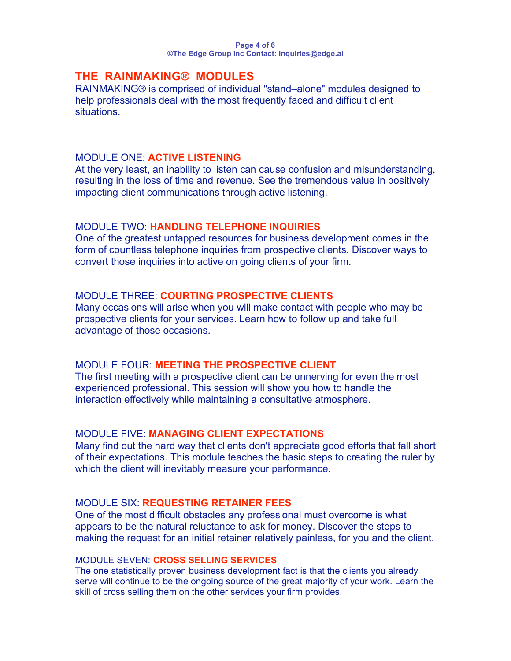# **THE RAINMAKING® MODULES**

RAINMAKING® is comprised of individual "stand–alone" modules designed to help professionals deal with the most frequently faced and difficult client situations.

#### MODULE ONE: **ACTIVE LISTENING**

At the very least, an inability to listen can cause confusion and misunderstanding, resulting in the loss of time and revenue. See the tremendous value in positively impacting client communications through active listening.

#### MODULE TWO: **HANDLING TELEPHONE INQUIRIES**

One of the greatest untapped resources for business development comes in the form of countless telephone inquiries from prospective clients. Discover ways to convert those inquiries into active on going clients of your firm.

# MODULE THREE: **COURTING PROSPECTIVE CLIENTS**

Many occasions will arise when you will make contact with people who may be prospective clients for your services. Learn how to follow up and take full advantage of those occasions.

#### MODULE FOUR: **MEETING THE PROSPECTIVE CLIENT**

The first meeting with a prospective client can be unnerving for even the most experienced professional. This session will show you how to handle the interaction effectively while maintaining a consultative atmosphere.

### MODULE FIVE: **MANAGING CLIENT EXPECTATIONS**

Many find out the hard way that clients don't appreciate good efforts that fall short of their expectations. This module teaches the basic steps to creating the ruler by which the client will inevitably measure your performance.

#### MODULE SIX: **REQUESTING RETAINER FEES**

One of the most difficult obstacles any professional must overcome is what appears to be the natural reluctance to ask for money. Discover the steps to making the request for an initial retainer relatively painless, for you and the client.

#### MODULE SEVEN: **CROSS SELLING SERVICES**

The one statistically proven business development fact is that the clients you already serve will continue to be the ongoing source of the great majority of your work. Learn the skill of cross selling them on the other services your firm provides.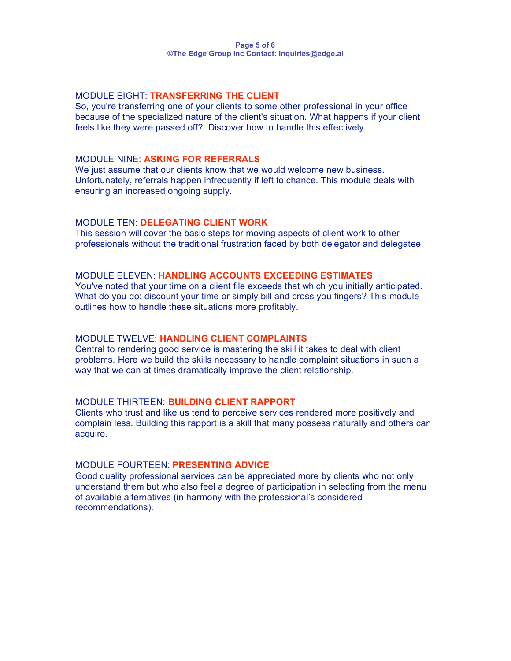#### MODULE EIGHT: **TRANSFERRING THE CLIENT**

So, you're transferring one of your clients to some other professional in your office because of the specialized nature of the client's situation. What happens if your client feels like they were passed off? Discover how to handle this effectively.

#### MODULE NINE: **ASKING FOR REFERRALS**

We just assume that our clients know that we would welcome new business. Unfortunately, referrals happen infrequently if left to chance. This module deals with ensuring an increased ongoing supply.

#### MODULE TEN: **DELEGATING CLIENT WORK**

This session will cover the basic steps for moving aspects of client work to other professionals without the traditional frustration faced by both delegator and delegatee.

#### MODULE ELEVEN: **HANDLING ACCOUNTS EXCEEDING ESTIMATES**

You've noted that your time on a client file exceeds that which you initially anticipated. What do you do: discount your time or simply bill and cross you fingers? This module outlines how to handle these situations more profitably.

#### MODULE TWELVE: **HANDLING CLIENT COMPLAINTS**

Central to rendering good service is mastering the skill it takes to deal with client problems. Here we build the skills necessary to handle complaint situations in such a way that we can at times dramatically improve the client relationship.

#### MODULE THIRTEEN: **BUILDING CLIENT RAPPORT**

Clients who trust and like us tend to perceive services rendered more positively and complain less. Building this rapport is a skill that many possess naturally and others can acquire.

#### MODULE FOURTEEN: **PRESENTING ADVICE**

Good quality professional services can be appreciated more by clients who not only understand them but who also feel a degree of participation in selecting from the menu of available alternatives (in harmony with the professional's considered recommendations).